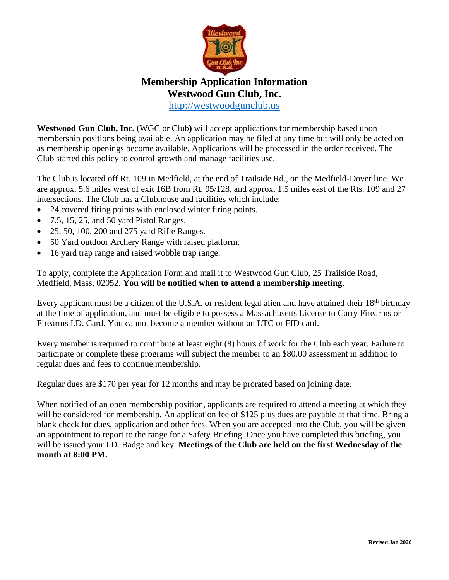

## **Membership Application Information Westwood Gun Club, Inc.** [http://westwoodgunclub.us](http://westwoodgunclub.us/)

**Westwood Gun Club, Inc.** (WGC or Club**)** will accept applications for membership based upon membership positions being available. An application may be filed at any time but will only be acted on as membership openings become available. Applications will be processed in the order received. The Club started this policy to control growth and manage facilities use.

The Club is located off Rt. 109 in Medfield, at the end of Trailside Rd., on the Medfield-Dover line. We are approx. 5.6 miles west of exit 16B from Rt. 95/128, and approx. 1.5 miles east of the Rts. 109 and 27 intersections. The Club has a Clubhouse and facilities which include:

- 24 covered firing points with enclosed winter firing points.
- 7.5, 15, 25, and 50 yard Pistol Ranges.
- 25, 50, 100, 200 and 275 yard Rifle Ranges.
- 50 Yard outdoor Archery Range with raised platform.
- 16 yard trap range and raised wobble trap range.

To apply, complete the Application Form and mail it to Westwood Gun Club, 25 Trailside Road, Medfield, Mass, 02052. **You will be notified when to attend a membership meeting.**

Every applicant must be a citizen of the U.S.A. or resident legal alien and have attained their 18<sup>th</sup> birthday at the time of application, and must be eligible to possess a Massachusetts License to Carry Firearms or Firearms I.D. Card. You cannot become a member without an LTC or FID card.

Every member is required to contribute at least eight (8) hours of work for the Club each year. Failure to participate or complete these programs will subject the member to an \$80.00 assessment in addition to regular dues and fees to continue membership.

Regular dues are \$170 per year for 12 months and may be prorated based on joining date.

When notified of an open membership position, applicants are required to attend a meeting at which they will be considered for membership. An application fee of \$125 plus dues are payable at that time. Bring a blank check for dues, application and other fees. When you are accepted into the Club, you will be given an appointment to report to the range for a Safety Briefing. Once you have completed this briefing, you will be issued your I.D. Badge and key. **Meetings of the Club are held on the first Wednesday of the month at 8:00 PM.**